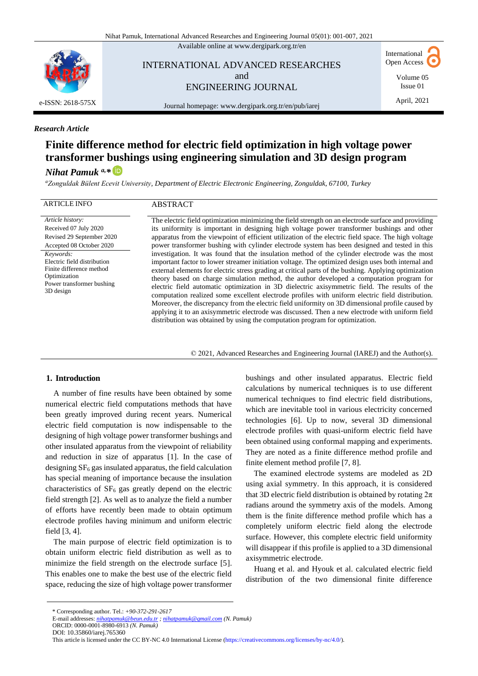Available online at [www.dergipark.org.tr/en](http://www.dergipark.org.tr/en)



INTERNATIONAL ADVANCED RESEARCHES and ENGINEERING JOURNAL

International Open Access

> Volume 05 Issue 01 April, 2021

Journal homepage[: www.dergipark.org.tr/en/pub/iarej](http://www.dergipark.org.tr/en/pub/iarej)

## *Research Article*

# **Finite difference method for electric field optimization in high voltage power transformer bushings using engineering simulation and 3D design program**

## *Nihat Pamuk a,\**

*<sup>a</sup>Zonguldak Bülent Ecevit University, Department of Electric Electronic Engineering, Zonguldak, 67100, Turkey*

#### ARTICLE INFO ABSTRACT

*Article history:* Received 07 July 2020 Revised 29 September 2020 Accepted 08 October 2020 *Keywords:* Electric field distribution Finite difference method Optimization Power transformer bushing 3D design

The electric field optimization minimizing the field strength on an electrode surface and providing its uniformity is important in designing high voltage power transformer bushings and other apparatus from the viewpoint of efficient utilization of the electric field space. The high voltage power transformer bushing with cylinder electrode system has been designed and tested in this investigation. It was found that the insulation method of the cylinder electrode was the most important factor to lower streamer initiation voltage. The optimized design uses both internal and external elements for electric stress grading at critical parts of the bushing. Applying optimization theory based on charge simulation method, the author developed a computation program for electric field automatic optimization in 3D dielectric axisymmetric field. The results of the computation realized some excellent electrode profiles with uniform electric field distribution. Moreover, the discrepancy from the electric field uniformity on 3D dimensional profile caused by applying it to an axisymmetric electrode was discussed. Then a new electrode with uniform field distribution was obtained by using the computation program for optimization.

© 2021, Advanced Researches and Engineering Journal (IAREJ) and the Author(s).

### **1. Introduction**

A number of fine results have been obtained by some numerical electric field computations methods that have been greatly improved during recent years. Numerical electric field computation is now indispensable to the designing of high voltage power transformer bushings and other insulated apparatus from the viewpoint of reliability and reduction in size of apparatus [1]. In the case of designing  $SF<sub>6</sub>$  gas insulated apparatus, the field calculation has special meaning of importance because the insulation characteristics of  $SF<sub>6</sub>$  gas greatly depend on the electric field strength [2]. As well as to analyze the field a number of efforts have recently been made to obtain optimum electrode profiles having minimum and uniform electric field [3, 4].

The main purpose of electric field optimization is to obtain uniform electric field distribution as well as to minimize the field strength on the electrode surface [5]. This enables one to make the best use of the electric field space, reducing the size of high voltage power transformer

bushings and other insulated apparatus. Electric field calculations by numerical techniques is to use different numerical techniques to find electric field distributions, which are inevitable tool in various electricity concerned technologies [6]. Up to now, several 3D dimensional electrode profiles with quasi-uniform electric field have been obtained using conformal mapping and experiments. They are noted as a finite difference method profile and finite element method profile [7, 8].

The examined electrode systems are modeled as 2D using axial symmetry. In this approach, it is considered that 3D electric field distribution is obtained by rotating  $2\pi$ radians around the symmetry axis of the models. Among them is the finite difference method profile which has a completely uniform electric field along the electrode surface. However, this complete electric field uniformity will disappear if this profile is applied to a 3D dimensional axisymmetric electrode.

Huang et al. and Hyouk et al. calculated electric field distribution of the two dimensional finite difference

<sup>\*</sup> Corresponding author. Tel.: *+90-372-291-2617*

E-mail addresses: *[nihatpamuk@beun.edu.tr](mailto:nihatpamuk@beun.edu.tr) ; [nihatpamuk@gmail.com](mailto:nihatpamuk@gmail.com) (N. Pamuk)*

ORCID: 0000-0001-8980-6913 *(N. Pamuk)*

DOI: [10.35860/iarej.765360](https://doi.org/10.35860/iarej.765360)

This article is licensed under the [CC BY-NC 4.0](https://creativecommons.org/licenses/by-nc/4.0/) [International License](https://creativecommons.org/licenses/by-nc/4.0/) [\(https://creativecommons.org/licenses/by-nc/4.0/\)](https://creativecommons.org/licenses/by-nc/4.0/).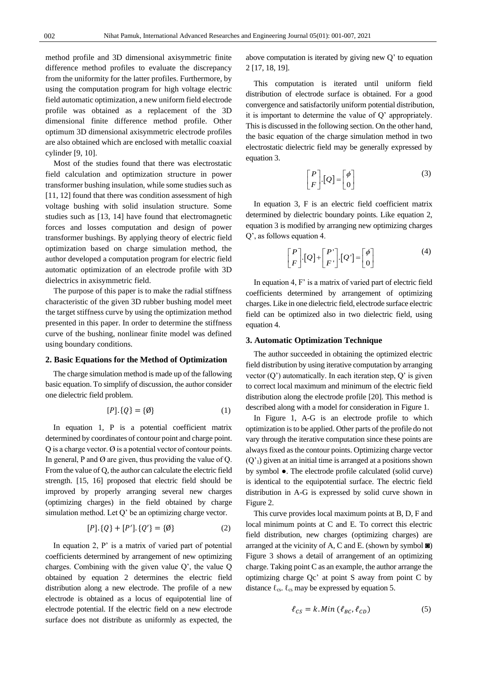method profile and 3D dimensional axisymmetric finite difference method profiles to evaluate the discrepancy from the uniformity for the latter profiles. Furthermore, by using the computation program for high voltage electric field automatic optimization, a new uniform field electrode profile was obtained as a replacement of the 3D dimensional finite difference method profile. Other optimum 3D dimensional axisymmetric electrode profiles are also obtained which are enclosed with metallic coaxial cylinder [9, 10].

Most of the studies found that there was electrostatic field calculation and optimization structure in power transformer bushing insulation, while some studies such as [11, 12] found that there was condition assessment of high voltage bushing with solid insulation structure. Some studies such as [13, 14] have found that electromagnetic forces and losses computation and design of power transformer bushings. By applying theory of electric field optimization based on charge simulation method, the author developed a computation program for electric field automatic optimization of an electrode profile with 3D dielectrics in axisymmetric field.

The purpose of this paper is to make the radial stiffness characteristic of the given 3D rubber bushing model meet the target stiffness curve by using the optimization method presented in this paper. In order to determine the stiffness curve of the bushing, nonlinear finite model was defined using boundary conditions.

#### **2. Basic Equations for the Method of Optimization**

The charge simulation method is made up of the fallowing basic equation. To simplify of discussion, the author consider one dielectric field problem.

$$
[P].\{Q\} = \{\emptyset\} \tag{1}
$$

In equation 1, P is a potential coefficient matrix determined by coordinates of contour point and charge point.  $Q$  is a charge vector.  $\emptyset$  is a potential vector of contour points. In general, P and  $\varnothing$  are given, thus providing the value of Q. From the value of Q, the author can calculate the electric field strength. [15, 16] proposed that electric field should be improved by properly arranging several new charges (optimizing charges) in the field obtained by charge simulation method. Let Q' be an optimizing charge vector.

$$
[P].\{Q\} + [P']. \{Q'\} = \{\emptyset\} \tag{2}
$$

In equation 2, P' is a matrix of varied part of potential coefficients determined by arrangement of new optimizing charges. Combining with the given value Q', the value Q obtained by equation 2 determines the electric field distribution along a new electrode. The profile of a new electrode is obtained as a locus of equipotential line of electrode potential. If the electric field on a new electrode surface does not distribute as uniformly as expected, the above computation is iterated by giving new Q' to equation 2 [17, 18, 19].

This computation is iterated until uniform field distribution of electrode surface is obtained. For a good convergence and satisfactorily uniform potential distribution, it is important to determine the value of Q' appropriately. This is discussed in the following section. On the other hand, the basic equation of the charge simulation method in two electrostatic dielectric field may be generally expressed by equation 3.

$$
\begin{bmatrix} P \\ F \end{bmatrix} [Q] = \begin{bmatrix} \phi \\ 0 \end{bmatrix} \tag{3}
$$

In equation 3, F is an electric field coefficient matrix determined by dielectric boundary points. Like equation 2, equation 3 is modified by arranging new optimizing charges Q', as follows equation 4.

$$
\begin{bmatrix} P \\ F \end{bmatrix} [Q] + \begin{bmatrix} P' \\ F' \end{bmatrix} [Q'] = \begin{bmatrix} \phi \\ 0 \end{bmatrix}
$$
 (4)

In equation 4, F' is a matrix of varied part of electric field coefficients determined by arrangement of optimizing charges. Like in one dielectric field, electrode surface electric field can be optimized also in two dielectric field, using equation 4.

## **3. Automatic Optimization Technique**

The author succeeded in obtaining the optimized electric field distribution by using iterative computation by arranging vector  $(Q)$  automatically. In each iteration step,  $Q'$  is given to correct local maximum and minimum of the electric field distribution along the electrode profile [20]. This method is described along with a model for consideration in Figure 1.

In Figure 1, A-G is an electrode profile to which optimization is to be applied. Other parts of the profile do not vary through the iterative computation since these points are always fixed as the contour points. Optimizing charge vector  $(Q<sup>1</sup>)$  given at an initial time is arranged at a positions shown by symbol ●. The electrode profile calculated (solid curve) is identical to the equipotential surface. The electric field distribution in A-G is expressed by solid curve shown in Figure 2.

This curve provides local maximum points at B, D, F and local minimum points at C and E. To correct this electric field distribution, new charges (optimizing charges) are arranged at the vicinity of A, C and E. (shown by symbol  $\blacksquare$ ) Figure 3 shows a detail of arrangement of an optimizing charge. Taking point C as an example, the author arrange the optimizing charge Qc' at point S away from point C by distance  $\ell_{\text{cs}}$ .  $\ell_{\text{cs}}$  may be expressed by equation 5.

$$
\ell_{CS} = k \cdot Min \left( \ell_{BC}, \ell_{CD} \right) \tag{5}
$$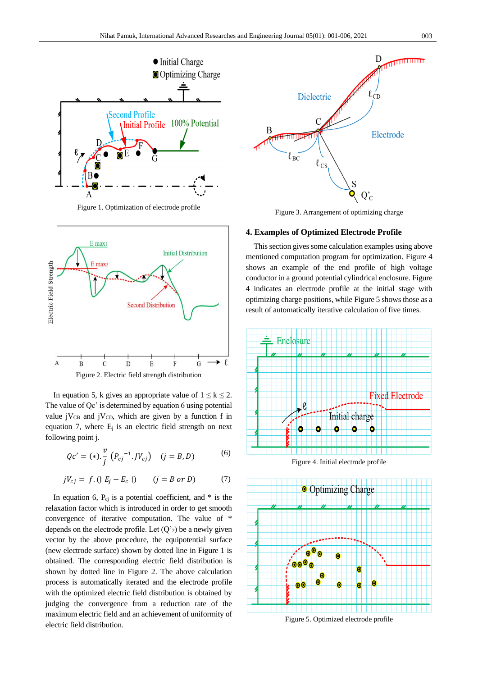

Figure 1. Optimization of electrode profile



In equation 5, k gives an appropriate value of  $1 \leq k \leq 2$ . The value of Qc' is determined by equation 6 using potential value j $V_{CB}$  and j $V_{CD}$ , which are given by a function f in equation 7, where  $E_i$  is an electric field strength on next following point j.

$$
Qc' = (*). \frac{v}{j} (P_{cj}^{-1}.JV_{cj}) \quad (j = B, D)
$$
 (6)

$$
jV_{cj} = f. (|E_j - E_c|) \t (j = B \t or \t D)
$$
\t(7)

In equation 6,  $P_{cj}$  is a potential coefficient, and  $*$  is the relaxation factor which is introduced in order to get smooth convergence of iterative computation. The value of \* depends on the electrode profile. Let  $(Q<sub>2</sub>)$  be a newly given vector by the above procedure, the equipotential surface (new electrode surface) shown by dotted line in Figure 1 is obtained. The corresponding electric field distribution is shown by dotted line in Figure 2. The above calculation process is automatically iterated and the electrode profile with the optimized electric field distribution is obtained by judging the convergence from a reduction rate of the maximum electric field and an achievement of uniformity of electric field distribution.



Figure 3. Arrangement of optimizing charge

## **4. Examples of Optimized Electrode Profile**

This section gives some calculation examples using above mentioned computation program for optimization. Figure 4 shows an example of the end profile of high voltage conductor in a ground potential cylindrical enclosure. Figure 4 indicates an electrode profile at the initial stage with optimizing charge positions, while Figure 5 shows those as a result of automatically iterative calculation of five times.



Figure 4. Initial electrode profile



Figure 5. Optimized electrode profile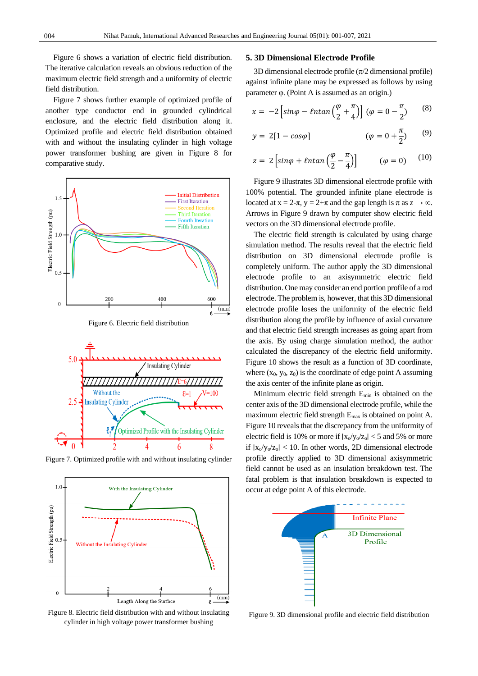Figure 6 shows a variation of electric field distribution. The iterative calculation reveals an obvious reduction of the maximum electric field strength and a uniformity of electric field distribution.

Figure 7 shows further example of optimized profile of another type conductor end in grounded cylindrical enclosure, and the electric field distribution along it. Optimized profile and electric field distribution obtained with and without the insulating cylinder in high voltage power transformer bushing are given in Figure 8 for comparative study.







Figure 7. Optimized profile with and without insulating cylinder



Figure 8. Electric field distribution with and without insulating cylinder in high voltage power transformer bushing

## **5. 3D Dimensional Electrode Profile**

3D dimensional electrode profile ( $\pi/2$  dimensional profile) against infinite plane may be expressed as follows by using parameter φ. (Point A is assumed as an origin.)

$$
x = -2\left[\sin\varphi - \ell n \tan\left(\frac{\varphi}{2} + \frac{\pi}{4}\right)\right] \left(\varphi = 0 - \frac{\pi}{2}\right) \tag{8}
$$

$$
y = 2[1 - \cos\varphi] \qquad (\varphi = 0 + \frac{\pi}{2}) \qquad (9)
$$

$$
z = 2\left[\sin\varphi + \ell n \tan\left(\frac{\varphi}{2} - \frac{\pi}{4}\right)\right] \qquad (\varphi = 0) \qquad (10)
$$

Figure 9 illustrates 3D dimensional electrode profile with 100% potential. The grounded infinite plane electrode is located at  $x = 2-\pi$ ,  $y = 2+\pi$  and the gap length is  $\pi$  as  $z \to \infty$ . Arrows in Figure 9 drawn by computer show electric field vectors on the 3D dimensional electrode profile.

The electric field strength is calculated by using charge simulation method. The results reveal that the electric field distribution on 3D dimensional electrode profile is completely uniform. The author apply the 3D dimensional electrode profile to an axisymmetric electric field distribution. One may consider an end portion profile of a rod electrode. The problem is, however, that this 3D dimensional electrode profile loses the uniformity of the electric field distribution along the profile by influence of axial curvature and that electric field strength increases as going apart from the axis. By using charge simulation method, the author calculated the discrepancy of the electric field uniformity. Figure 10 shows the result as a function of 3D coordinate, where  $(x_0, y_0, z_0)$  is the coordinate of edge point A assuming the axis center of the infinite plane as origin.

Minimum electric field strength Emin is obtained on the center axis of the 3D dimensional electrode profile, while the maximum electric field strength Emax is obtained on point A. Figure 10 reveals that the discrepancy from the uniformity of electric field is 10% or more if  $|x_0/v_0/z_0| < 5$  and 5% or more if  $|x_0/v_0/z_0|$  < 10. In other words, 2D dimensional electrode profile directly applied to 3D dimensional axisymmetric field cannot be used as an insulation breakdown test. The fatal problem is that insulation breakdown is expected to occur at edge point A of this electrode.



Figure 9. 3D dimensional profile and electric field distribution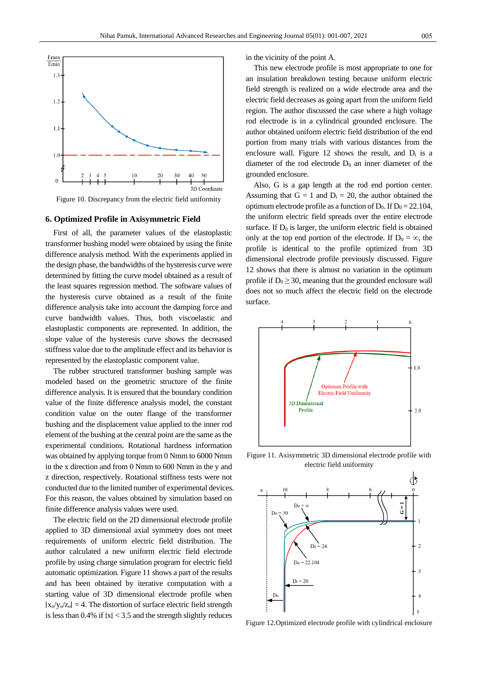

Figure 10. Discrepancy from the electric field uniformity

#### **6. Optimized Profile in Axisymmetric Field**

First of all, the parameter values of the elastoplastic transformer bushing model were obtained by using the finite difference analysis method. With the experiments applied in the design phase, the bandwidths of the hysteresis curve were determined by fitting the curve model obtained as a result of the least squares regression method. The software values of the hysteresis curve obtained as a result of the finite difference analysis take into account the damping force and curve bandwidth values. Thus, both viscoelastic and elastoplastic components are represented. In addition, the slope value of the hysteresis curve shows the decreased stiffness value due to the amplitude effect and its behavior is represented by the elastoplastic component value.

The rubber structured transformer bushing sample was modeled based on the geometric structure of the finite difference analysis. It is ensured that the boundary condition value of the finite difference analysis model, the constant condition value on the outer flange of the transformer bushing and the displacement value applied to the inner rod element of the bushing at the central point are the same as the experimental conditions. Rotational hardness information was obtained by applying torque from 0 Nmm to 6000 Nmm in the x direction and from 0 Nmm to 600 Nmm in the y and z direction, respectively. Rotational stiffness tests were not conducted due to the limited number of experimental devices. For this reason, the values obtained by simulation based on finite difference analysis values were used.

The electric field on the 2D dimensional electrode profile applied to 3D dimensional axial symmetry does not meet requirements of uniform electric field distribution. The author calculated a new uniform electric field electrode profile by using charge simulation program for electric field automatic optimization. Figure 11 shows a part of the results and has been obtained by iterative computation with a starting value of 3D dimensional electrode profile when  $|x_0/y_0/z_0| = 4$ . The distortion of surface electric field strength is less than 0.4% if ∣x∣ < 3.5 and the strength slightly reduces in the vicinity of the point A.

This new electrode profile is most appropriate to one for an insulation breakdown testing because uniform electric field strength is realized on a wide electrode area and the electric field decreases as going apart from the uniform field region. The author discussed the case where a high voltage rod electrode is in a cylindrical grounded enclosure. The author obtained uniform electric field distribution of the end portion from many trials with various distances from the enclosure wall. Figure 12 shows the result, and  $D_i$  is a diameter of the rod electrode  $D_0$  an inner diameter of the grounded enclosure.

Also, G is a gap length at the rod end portion center. Assuming that  $G = 1$  and  $D_i = 20$ , the author obtained the optimum electrode profile as a function of  $D_0$ . If  $D_0 = 22.104$ , the uniform electric field spreads over the entire electrode surface. If  $D_0$  is larger, the uniform electric field is obtained only at the top end portion of the electrode. If  $D_0 = \infty$ , the profile is identical to the profile optimized from 3D dimensional electrode profile previously discussed. Figure 12 shows that there is almost no variation in the optimum profile if  $D_0 \geq 30$ , meaning that the grounded enclosure wall does not so much affect the electric field on the electrode surface.



Figure 11. Axisymmetric 3D dimensional electrode profile with electric field uniformity



Figure 12.Optimized electrode profile with cylindrical enclosure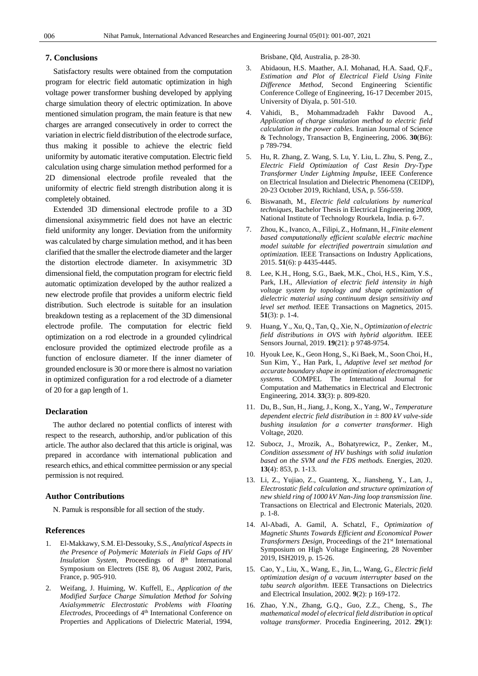## **7. Conclusions**

Satisfactory results were obtained from the computation program for electric field automatic optimization in high voltage power transformer bushing developed by applying charge simulation theory of electric optimization. In above mentioned simulation program, the main feature is that new charges are arranged consecutively in order to correct the variation in electric field distribution of the electrode surface, thus making it possible to achieve the electric field uniformity by automatic iterative computation. Electric field calculation using charge simulation method performed for a 2D dimensional electrode profile revealed that the uniformity of electric field strength distribution along it is completely obtained.

Extended 3D dimensional electrode profile to a 3D dimensional axisymmetric field does not have an electric field uniformity any longer. Deviation from the uniformity was calculated by charge simulation method, and it has been clarified that the smaller the electrode diameter and the larger the distortion electrode diameter. In axisymmetric 3D dimensional field, the computation program for electric field automatic optimization developed by the author realized a new electrode profile that provides a uniform electric field distribution. Such electrode is suitable for an insulation breakdown testing as a replacement of the 3D dimensional electrode profile. The computation for electric field optimization on a rod electrode in a grounded cylindrical enclosure provided the optimized electrode profile as a function of enclosure diameter. If the inner diameter of grounded enclosure is 30 or more there is almost no variation in optimized configuration for a rod electrode of a diameter of 20 for a gap length of 1.

## **Declaration**

The author declared no potential conflicts of interest with respect to the research, authorship, and/or publication of this article. The author also declared that this article is original, was prepared in accordance with international publication and research ethics, and ethical committee permission or any special permission is not required.

## **Author Contributions**

N. Pamuk is responsible for all section of the study.

#### **References**

- 1. El-Makkawy, S.M. El-Dessouky, S.S., *Analytical Aspects in the Presence of Polymeric Materials in Field Gaps of HV Insulation System*, Proceedings of 8<sup>th</sup> International Symposium on Electrets (ISE 8), 06 August 2002, Paris, France, p. 905-910.
- 2. Weifang, J. Huiming, W. Kuffell, E., *Application of the Modified Surface Charge Simulation Method for Solving Axialsymmetric Electrostatic Problems with Floating Electrodes*, Proceedings of 4<sup>th</sup> International Conference on Properties and Applications of Dielectric Material, 1994,

Brisbane, Qld, Australia, p. 28-30.

- 3. Abidaoun, H.S. Maather, A.I. Mohanad, H.A. Saad, Q.F., *Estimation and Plot of Electrical Field Using Finite Difference Method*, Second Engineering Scientific Conference College of Engineering, 16-17 December 2015, University of Diyala, p. 501-510.
- 4. Vahidi, B., Mohammadzadeh Fakhr Davood A., *Application of charge simulation method to electric field calculation in the power cables.* Iranian Journal of Science & Technology, Transaction B, Engineering, 2006. **30**(B6): p 789-794.
- 5. Hu, R. Zhang, Z. Wang, S. Lu, Y. Liu, L. Zhu, S. Peng, Z., *Electric Field Optimization of Cast Resin Dry-Type Transformer Under Lightning Impulse*, IEEE Conference on Electrical Insulation and Dielectric Phenomena (CEIDP), 20-23 October 2019, Richland, USA, p. 556-559.
- 6. Biswanath, M., *Electric field calculations by numerical techniques*, Bachelor Thesis in Electrical Engineering 2009, National Institute of Technology Rourkela, India. p. 6-7.
- 7. Zhou, K., Ivanco, A., Filipi, Z., Hofmann, H., *Finite element based computationally efficient scalable electric machine model suitable for electrified powertrain simulation and optimization.* IEEE Transactions on Industry Applications, 2015. **51**(6): p 4435-4445.
- 8. Lee, K.H., Hong, S.G., Baek, M.K., Choi, H.S., Kim, Y.S., Park, I.H., *Alleviation of electric field intensity in high voltage system by topology and shape optimization of dielectric material using continuum design sensitivity and level set method.* IEEE Transactions on Magnetics, 2015. **51**(3): p. 1-4.
- 9. Huang, Y., Xu, Q., Tan, Q., Xie, N., *Optimization of electric field distributions in OVS with hybrid algorithm.* IEEE Sensors Journal, 2019. **19**(21): p 9748-9754.
- 10. Hyouk Lee, K., Geon Hong, S., Ki Baek, M., Soon Choi, H., Sun Kim, Y., Han Park, I., *Adaptive level set method for accurate boundary shape in optimization of electromagnetic systems.* COMPEL The International Journal for Computation and Mathematics in Electrical and Electronic Engineering, 2014. **33**(3): p. 809-820.
- 11. Du, B., Sun, H., Jiang, J., Kong, X., Yang, W., *Temperature dependent electric field distribution in ± 800 kV valve-side bushing insulation for a converter transformer.* High Voltage, 2020.
- 12. Subocz, J., Mrozik, A., Bohatyrewicz, P., Zenker, M., *Condition assessment of HV bushings with solid inulation based on the SVM and the FDS methods.* Energies, 2020. **13**(4): 853, p. 1-13.
- 13. Li, Z., Yujiao, Z., Guanteng, X., Jiansheng, Y., Lan, J., *Electrostatic field calculation and structure optimization of new shield ring of 1000 kV Nan-Jing loop transmission line.* Transactions on Electrical and Electronic Materials, 2020. p. 1-8.
- 14. Al-Abadi, A. Gamil, A. Schatzl, F., *Optimization of Magnetic Shunts Towards Efficient and Economical Power Transformers Design*, Proceedings of the 21<sup>st</sup> International Symposium on High Voltage Engineering, 28 November 2019, ISH2019, p. 15-26.
- 15. Cao, Y., Liu, X., Wang, E., Jin, L., Wang, G., *Electric field optimization design of a vacuum interrupter based on the tabu search algorithm.* IEEE Transactions on Dielectrics and Electrical Insulation, 2002. **9**(2): p 169-172.
- 16. Zhao, Y.N., Zhang, G.Q., Guo, Z.Z., Cheng, S., *The mathematical model of electrical field distribution in optical voltage transformer.* Procedia Engineering, 2012. **29**(1):